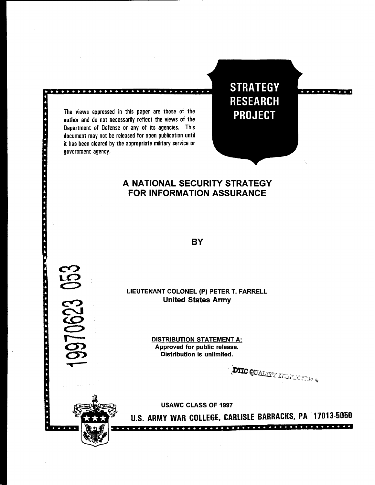The views expressed in this paper are those of the author and do not necessarily reflect the views of the Department of Defense or any of its agencies. This document may not be released for open publication until it has been cleared by the appropriate military service or government agency. '

医神经性 化三甲基乙基基 医鞭毛虫 医腹膜炎 医水平 化二硫化物

**COD** 

**STRATEGY RESEARCH PROJECT** 

# **A NATIONAL SECURITY STRATEGY FOR INFORMATION ASSURANCE**

**BY** 

**LIEUTENANT COLONEL (P) PETER T. FARRELL United States Army** 

> **DISTRIBUTION STATEMENT A: Approved for public release. Distribution is unlimited.**

**DTIC QUALITY INSPECTION 4** 

**USAWC CLASS OF 1997** 

**U.S. ARMY WAR COLLEGE. CARLISLE BARRACKS. PA 17013-5050**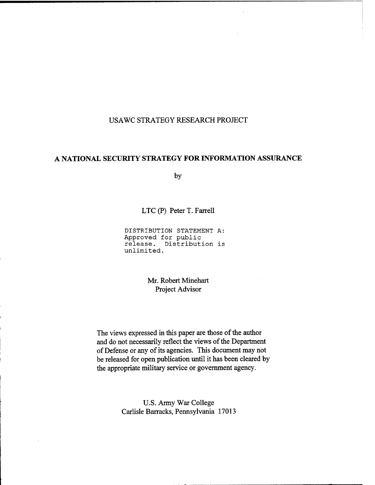### USAWC STRATEGY RESEARCH PROJECT

 $\sim$   $\sim$ 

 $\label{eq:2.1} \frac{1}{2} \int_{\mathbb{R}^3} \left| \frac{d\mu}{\mu} \right|^2 \, d\mu = \frac{1}{2} \int_{\mathbb{R}^3} \left| \frac{d\mu}{\mu} \right|^2 \, d\mu = \frac{1}{2} \int_{\mathbb{R}^3} \left| \frac{d\mu}{\mu} \right|^2 \, d\mu = \frac{1}{2} \int_{\mathbb{R}^3} \left| \frac{d\mu}{\mu} \right|^2 \, d\mu = \frac{1}{2} \int_{\mathbb{R}^3} \left| \frac{d\mu}{\mu} \right|^2 \, d\mu = \$ 

## **A NATIONAL SECURITY STRATEGY FOR INFORMATION ASSURANCE**

by

LTC (P) Peter T. Farrell

**DISTRIBUTION STATEMENT A: Approved for public release. Distribution is unlimited.** 

> Mr. Robert Minehart Project Advisor

The views expressed in this paper are those of the author and do not necessarily reflect the views of the Department of Defense or any of its agencies. This document may not be released for open publication until it has been cleared by the appropriate military service or government agency.

> U.S. Army War College Carlisle Barracks, Pennsylvania 17013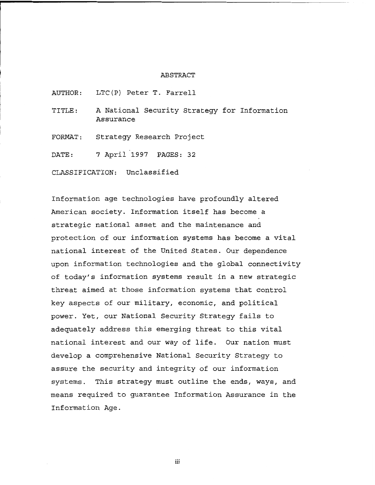#### ABSTRACT

AUTHOR: LTC(P) Peter T. Farrell

TITLE: A National Security Strategy for Information Assurance

FORMAT: Strategy Research Project

DATE: 7 April 1997 PAGES: 32

CLASSIFICATION: Unclassified

Information age technologies have profoundly altered American society. Information itself has become a strategic national asset and the maintenance and protection of our information systems has become a vital national interest of the United States. Our dependence upon information technologies and the global connectivity of today's information systems result in a new strategic threat aimed at those information systems that control key aspects of our military, economic, and political power. Yet, our National Security Strategy fails to adequately address this emerging threat to this vital national interest and our way of life. Our nation must develop a comprehensive National Security Strategy to assure the security and integrity of our information systems. This strategy must outline the ends, ways, and means required to guarantee Information Assurance in the Information Age.

iii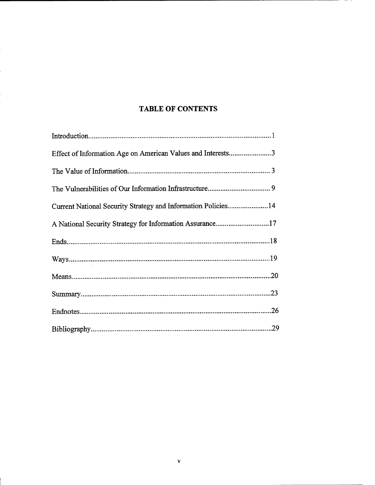# **TABLE OF CONTENTS**

| Effect of Information Age on American Values and Interests3   |
|---------------------------------------------------------------|
|                                                               |
|                                                               |
| Current National Security Strategy and Information Policies14 |
| A National Security Strategy for Information Assurance17      |
|                                                               |
|                                                               |
|                                                               |
|                                                               |
| .26                                                           |
|                                                               |

 $\mathbf{v}$ 

 $\bar{z}$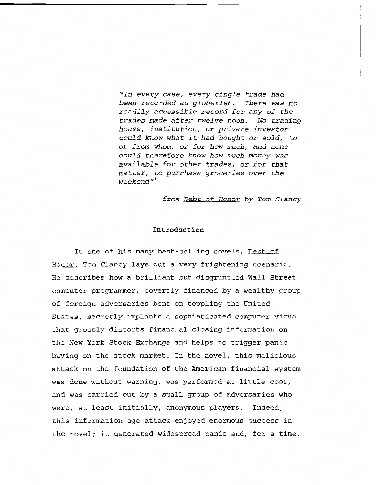*'In every case, every single trade had been recorded as gibberish. There was no readily accessible record for any of the trades made after twelve noon. No trading house, institution, or private investor could know what it had bought or sold, to or from whom, or for how much, and none could therefore know how much money was available for other trades, or for that matter, to purchase groceries over the weekend* **"l** 

*from Debt of Honor by Tom Clancy* 

#### **Introduction**

In one of his many best-selling novels, Debt of Honor, Tom Clancy lays out a very frightening scenario. He describes how a brilliant but disgruntled Wall Street computer programmer, covertly financed by a wealthy group of foreign adversaries bent on toppling the United States, secretly implants a sophisticated computer virus that grossly distorts financial closing information on the New York Stock Exchange and helps to trigger panic buying on the stock market. In the novel, this malicious attack on the foundation of the American financial system was done without warning, was performed at little cost, and was carried out by a small group of adversaries who were, at least initially, anonymous players. Indeed, this information age attack enjoyed enormous success in the novel; it generated widespread panic and, for a time,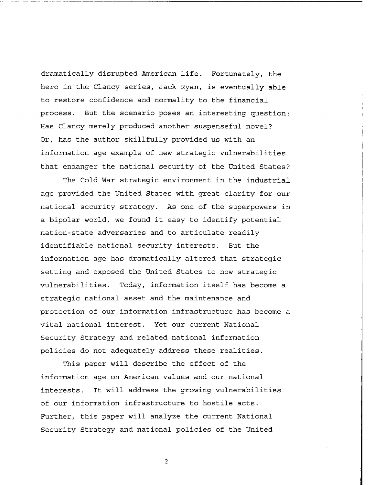dramatically disrupted American life. Fortunately, the hero in the Clancy series, Jack Ryan, is eventually able to restore confidence and normality to the financial process. But the scenario poses an interesting question: Has Clancy merely produced another suspenseful novel? Or, has the author skillfully provided us with an information age example of new strategic vulnerabilities that endanger the national security of the United States?

The Cold War strategic environment in the industrial age provided the United States with great clarity for our national security strategy. As one of the superpowers in a bipolar world, we found it easy to identify potential nation-state adversaries and to articulate readily identifiable national security interests. But the information age has dramatically altered that strategic setting and exposed the United States to new strategic vulnerabilities. Today, information itself has become a strategic national asset and the maintenance and protection of our information infrastructure has become a vital national interest. Yet our current National Security Strategy and related national information policies do not adequately address these realities.

This paper will describe the effect of the information age on American values and our national interests. It will address the growing vulnerabilities of our information infrastructure to hostile acts. Further, this paper will analyze the current National Security Strategy and national policies of the United

 $\overline{2}$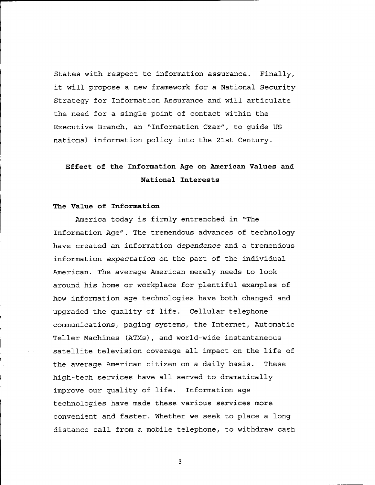States with respect to information assurance. Finally, it will propose a new framework for a National Security Strategy for Information Assurance and will articulate the need for a single point of contact within the Executive Branch, an 'Information Czar", to guide US national information policy into the 21st Century.

# **Effect of the Information Age on American Values and National Interests**

### **The Value of Information**

America today is firmly entrenched in "The Information Age". The tremendous advances of technology have created an information *dependence* and a tremendous information *expectation* on the part of the individual American. The average American merely needs to look around his home or workplace for plentiful examples of how information age technologies have both changed and upgraded the quality of life. Cellular telephone communications, paging systems, the Internet, Automatic Teller Machines (ATMs), and world-wide instantaneous satellite television coverage all impact on the life of the average American citizen on a daily basis. These high-tech services have all served to dramatically improve our quality of life. Information age technologies have made these various services more convenient and faster. Whether we seek to place a long distance call from a mobile telephone, to withdraw cash

 $\overline{\mathbf{3}}$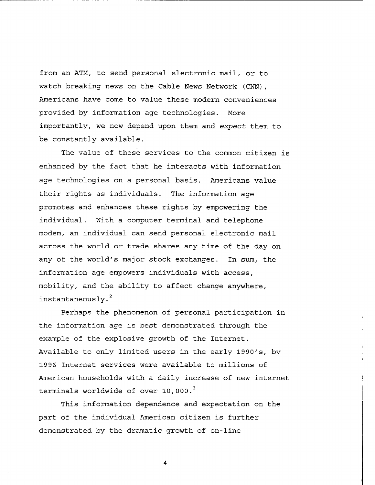from an ATM, to send personal electronic mail, or to watch breaking news on the Cable News Network **(CNN),**  Americans have come to value these modern conveniences provided by information age technologies. More importantly, we now depend upon them and **expect** them to be constantly available.

The value of these services to the common citizen is enhanced by the fact that he interacts with information age technologies on a personal basis. Americans value their rights as individuals. The information age promotes and enhances these rights by empowering the individual. With **a** computer terminal and telephone modem, an individual can send personal electronic mail across the world or trade shares any time of the day on any of the world's major stock exchanges. In sum, the information age empowers individuals with access, mobility, and the ability to affect change anywhere, **<sup>2</sup>**instantaneously.

Perhaps the phenomenon of personal participation in the information age is best demonstrated through the example of the explosive growth of the Internet. Available to only limited users in the early 1990's, by **1996** Internet services were available to millions of American households with a daily increase of new internet terminals worldwide of over 10,000. **<sup>3</sup>**

This information dependence and expectation on the part of the individual American citizen is further demonstrated by the dramatic growth of on-line

 $\overline{4}$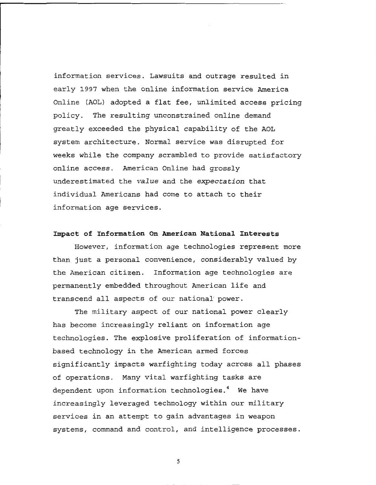information services. Lawsuits and outrage resulted in early **1997** when the online information service America Online (AOL) adopted a flat fee, unlimited access pricing policy. The resulting unconstrained online demand greatly exceeded the physical capability of the AOL system architecture. Normal service was disrupted for weeks while the company scrambled to provide satisfactory online access. American Online had grossly underestimated the value and the **expectation** that individual Americans had come to attach to their information age services.

### **Impact of Information On American National Interests**

However, information age technologies represent more than just a personal convenience, considerably valued by the American citizen. Information age technologies are permanently embedded throughout American life and transcend all aspects of our national'power.

The military aspect of our national power clearly has become increasingly reliant on information age technologies. The explosive proliferation of informationbased technology in the American armed forces significantly impacts warfighting today across all phases of operations. Many vital warfighting tasks are dependent upon information technologies.<sup>4</sup> We have increasingly leveraged technology within our military services in an attempt to gain advantages in weapon systems, command and control, and intelligence processes.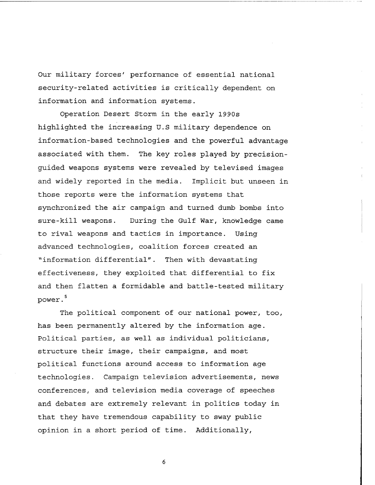Our military forces' performance of essential national security-related activities is critically dependent on information and information systems.

Operation Desert Storm in the early 1990s highlighted the increasing U.S military dependence on information-based technologies and the powerful advantage associated with them. The key roles played by precisionguided weapons systems were revealed by televised images and widely reported in the media. Implicit but unseen in those reports were the information systems that synchronized the air campaign and turned dumb bombs into sure-kill weapons. During the Gulf War, knowledge came to rival weapons and tactics in importance. Using advanced technologies, coalition forces created an "information differential". Then with devastating effectiveness, they exploited that differential to fix and then flatten a formidable and battle-tested military **5**  power.

The political component of our national power, too, has been permanently altered by the information age. Political parties, as well as individual politicians, structure their image, their campaigns, and most political functions around access to information age technologies. Campaign television advertisements, news conferences, and television media coverage of speeches and debates are extremely relevant in politics today in that they have tremendous capability to sway public opinion in a short period of time. Additionally,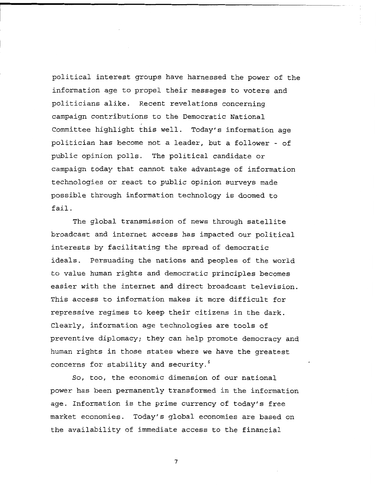political interest groups have harnessed the power of the information age to propel their messages to voters and politicians alike. Recent revelations concerning campaign contributions to the Democratic National Committee highlight this well. Today's information age politician has become not a leader, but a follower - of public opinion polls. The political candidate or campaign today that cannot take advantage of information technologies or react to public opinion surveys made possible through information technology is doomed to fail.

The global transmission of news through satellite broadcast and internet access has impacted our political interests by facilitating the spread of democratic ideals. Persuading the nations and peoples of the world to value human rights and democratic principles becomes easier with the internet and direct broadcast television. This access to information makes it more difficult for repressive regimes to keep their citizens in the dark. Clearly, information age technologies are tools of preventive diplomacy; they can help promote democracy and human rights in those states where we have the greatest concerns for stability and security. **<sup>6</sup>**

So, too, the economic dimension of our national power has been permanently transformed in the information age. Information is the prime currency of today's free market economies. Today's global economies are based on the availability of immediate access to the financial

 $\pmb{7}$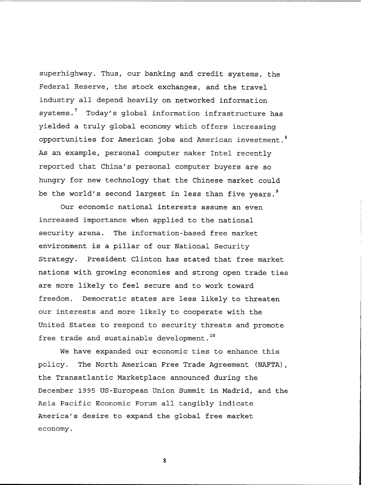superhighway. Thus, our banking and credit systems, the Federal Reserve, the stock exchanges, and the travel industry all depend heavily on networked information systems.<sup>7</sup> Today's global information infrastructure has yielded a truly global economy which offers increasing opportunities for American jobs and American investment. **<sup>8</sup>** As an example, personal computer maker Intel recently reported that China's personal computer buyers are so hungry for new technology that the Chinese market could be the world's second largest in less than five years. **<sup>9</sup>**

Our economic national interests assume an even increased importance when applied to the national security arena. The information-based free market environment is a pillar of our National Security Strategy. President Clinton has stated that free market nations with growing economies and strong open trade ties are more likely to feel secure and to work toward freedom. Democratic states are less likely to threaten our interests and more likely to cooperate with the United States to respond to security threats and promote free trade and sustainable development. **<sup>10</sup>**

We have expanded our economic ties to enhance this policy. The North American Free Trade Agreement (NAFTA), the Transatlantic Marketplace announced during the December **1995** US-European Union Summit in Madrid, and the Asia Pacific Economic Forum all tangibly indicate America's desire **to** expand the global free market economy.

 $8\phantom{.}$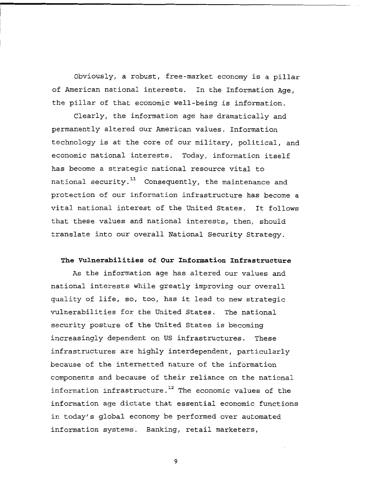Obviously, a robust, free-market economy is a pillar of American national interests. In the Information Age, the pillar of that economic well-being is information.

Clearly, the information age has dramatically and permanently altered our American values. Information technology is at the core of our military, political, and economic national interests. Today, information itself has become a strategic national resource vital to national security.<sup>11</sup> Consequently, the maintenance and protection of our information infrastructure has become a vital national interest of the United States. It follows that these values and national interests, then, should translate into our overall National Security Strategy.

### **The Vulnerabilities of Our Information Infrastructure**

As the information age has altered our values and national interests while greatly improving our overall quality of life, so, too, has it lead to new strategic vulnerabilities for the United States. The national security posture of the United States is becoming increasingly dependent on US infrastructures. These infrastructures are highly interdependent, particularly because of the internetted nature of the information components and because of their reliance on the national information infrastructure.<sup>12</sup> The economic values of the information age dictate that essential economic functions in today's global economy be performed over automated information systems. Banking, retail marketers,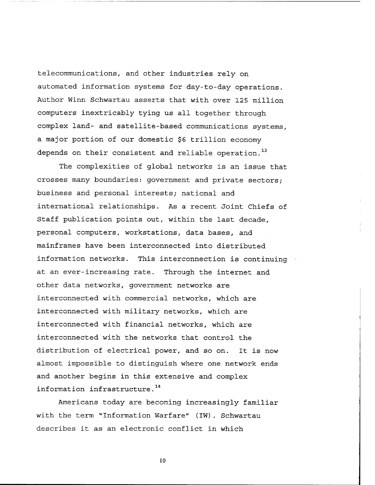telecommunications, and other industries rely on automated information systems for day-to-day operations. Author Winn Schwartau asserts that with over **125** million computers inextricably tying us all together through complex land- and satellite-based communications systems, a major portion of our domestic **\$6** trillion economy depends on their consistent and reliable operation. **<sup>13</sup>**

The complexities of global networks is an issue that crosses many boundaries: government and private sectors; business and personal interests; national and international relationships. As a recent Joint Chiefs of Staff publication points out, within the last decade, personal computers, workstations, data bases, and mainframes have been interconnected into distributed information networks. This interconnection is continuing at an ever-increasing rate. Through the internet and other data networks, government networks are interconnected with commercial networks, which are interconnected with military networks, which are interconnected with financial networks, which are interconnected with the networks that control the distribution of electrical power, and so on. It is now almost impossible to distinguish where one network ends and another begins in this extensive and complex information infrastructure. **<sup>14</sup>**

Americans today are becoming increasingly familiar with the term "Information Warfare" (IW) . Schwartau describes it as an electronic conflict in which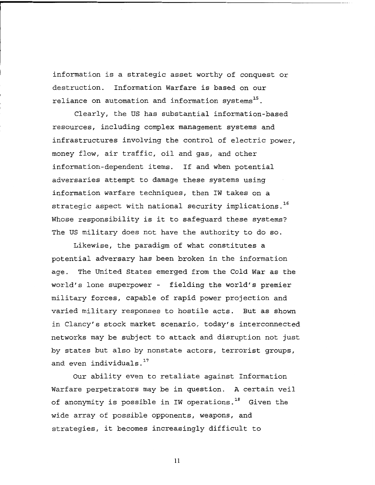information is a strategic asset worthy of conquest or destruction. Information Warfare is based on our reliance on automation and information systems<sup>15</sup>.

Clearly, the US has substantial information-based resources, including complex management systems and infrastructures involving the control of electric power, money flow, air traffic, oil and gas, and other information-dependent items. If and when potential adversaries attempt to damage these systems using information warfare techniques, then IW takes on a strategic aspect with national security implications. 16 Whose responsibility is it to safeguard these systems? The **US** military does not have the authority to do so.

Likewise, the paradigm of what constitutes a potential adversary has been broken in the information age. The United States emerged from the Cold War as the world's lone superpower - fielding the world's premier military forces, capable of rapid power projection and varied military responses to hostile acts. But as shown in Clancy's stock market scenario, today's interconnected networks may be subject to attack and disruption not just by states but also by nonstate actors, terrorist groups, and even individuals.<sup>17</sup>

Our ability even to retaliate against Information Warfare perpetrators may be in question. A certain veil of anonymity is possible in IW operations.<sup>18</sup> Given the wide array of possible opponents, weapons, and strategies, it becomes increasingly difficult to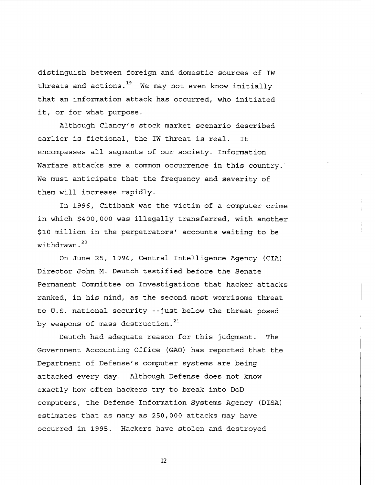distinguish between foreign and domestic sources of IW threats and actions.<sup>19</sup> We may not even know initially that an information attack has occurred, who initiated it, or for what purpose.

Although Clancy's stock market scenario described earlier is fictional, the IW threat is real. It encompasses all segments of our society. Information Warfare attacks are a common occurrence in this country. We must anticipate that the frequency and severity of them will increase rapidly.

In 1996, Citibank was the victim of a computer crime in which \$400,000 was illegally transferred, with another \$10 million in the perpetrators' accounts waiting to be withdrawn. **<sup>2</sup><sup>0</sup>**

On June 25, 1996, Central Intelligence Agency (CIA) Director John M. Deutch testified before the Senate Permanent Committee on Investigations that hacker attacks ranked, in his mind, as the second most worrisome threat to U.S. national security --just below the threat posed **<sup>2</sup><sup>1</sup>**by weapons of mass destruction.

Deutch had adequate reason for this judgment. The Government Accounting Office (GAO) has reported that the Department of Defense's computer systems are being attacked every day. Although Defense does not know exactly how often hackers try to break into DoD computers, the Defense Information Systems Agency (DISA) estimates that as many as 250,000 attacks may have occurred in 1995. Hackers have stolen and destroyed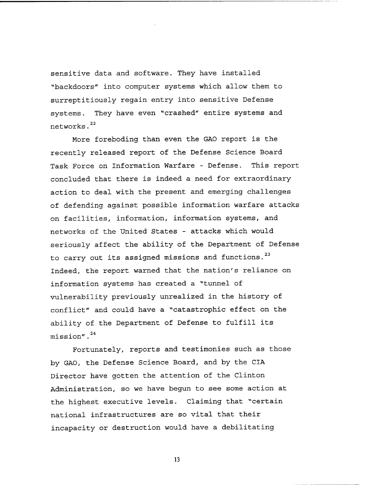sensitive data and software. They have installed "backdoors" into computer systems which allow them to surreptitiously regain entry into sensitive Defense systems. They have even 'crashed" entire systems and **<sup>22</sup>**networks.

More foreboding than even the GAO report is the recently released report of the Defense Science Board Task Force on Information Warfare - Defense. This report concluded that there is indeed a need for extraordinary action to deal with the present and emerging challenges of defending against possible information warfare attacks on facilities, information, information systems, and networks of the United States - attacks which would seriously affect the ability of the Department of Defense **<sup>2</sup><sup>3</sup>**to carry out its assigned missions and functions. Indeed, the report warned that the nation's reliance on information systems has created a "tunnel of vulnerability previously unrealized in the history of conflict" and could have a "catastrophic effect on the ability of the Department of Defense to fulfill its **<sup>2</sup><sup>4</sup>**mission".

Fortunately, reports and testimonies such as those by GAO, the Defense Science Board, and by the CIA Director have gotten the attention of the Clinton Administration, so we have begun to see some action at the highest executive levels. Claiming that "certain national infrastructures are so vital that their incapacity or destruction would have a debilitating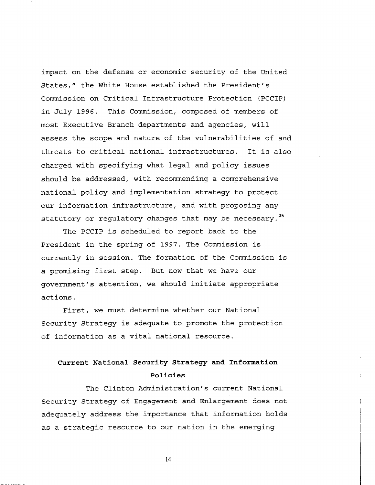impact on the defense or economic security of the United States," the White House established the President's Commission on Critical Infrastructure Protection (PCCIP) in July **1996.** This Commission, composed of members of most Executive Branch departments and agencies, will assess the scope and nature of the vulnerabilities of and threats to critical national infrastructures. It is also charged with specifying what legal and policy issues should be addressed, with recommending a comprehensive national policy and implementation strategy to protect our information infrastructure, and with proposing any **<sup>2</sup><sup>5</sup>**statutory or regulatory changes that may be necessary.

The PCCIP is scheduled to report back to the President in the spring of **1997.** The Commission is currently in session. The formation of the Commission is a promising first step. But now that we have our government's attention, we should initiate appropriate actions.

First, we must determine whether our National Security Strategy is adequate to promote the protection of information as a vital national resource.

# **Current National Security Strategy and Information Policies**

The Clinton Administration's current National Security Strategy of Engagement and Enlargement does not adequately address the importance that information holds as a strategic resource to our nation in the emerging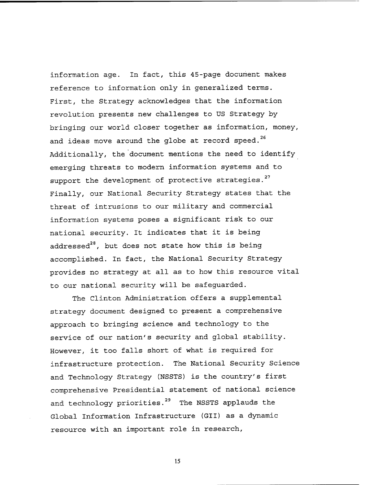information age. In fact, this 45-page document makes reference to information only in generalized terms. First, the Strategy acknowledges that the information revolution presents new challenges to US Strategy by bringing our world closer together as information, money, and ideas move around the globe at record speed. **<sup>26</sup>** Additionally, the 'document mentions the need to identify emerging threats to modern information systems and to support the development of protective strategies.<sup>27</sup> Finally, our National Security Strategy states that the threat of intrusions to our military and commercial information systems poses a significant risk to our national security. It indicates that it is being addressed $^{28}$ , but does not state how this is being accomplished. In fact, the National Security Strategy provides no strategy at all as to how this resource vital to our national security will be safeguarded.

The Clinton Administration offers a supplemental strategy document designed to present a comprehensive approach to bringing science and technology to the service of our nation's security and global stability. However, it too falls short of what is required for infrastructure protection. The National Security Science and Technology Strategy (NSSTS) is the country's first comprehensive Presidential statement of national science and technology priorities.<sup>29</sup> The NSSTS applauds the Global Information Infrastructure (GII) as a dynamic resource with an important role in research,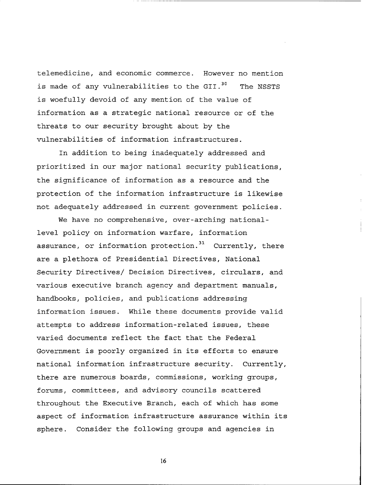telemedicine, and economic commerce. However no mention is made of any vulnerabilities to the GII.<sup>30</sup> The NSSTS is woefully devoid of any mention of the value of information as a strategic national resource or of the threats to our security brought about by the vulnerabilities of information infrastructures.

In addition to being inadequately addressed and prioritized in our major national security publications, the significance of information as a resource and the protection of the information infrastructure is likewise not adequately addressed in current government policies.

We have no comprehensive, over-arching nationallevel policy on information warfare, information assurance, or information protection.<sup>31</sup> Currently, there are a plethora of Presidential Directives, National Security Directives/ Decision Directives, circulars, and various executive branch agency and department manuals, handbooks, policies, and publications addressing information issues. While these documents provide valid attempts to address information-related issues, these varied documents reflect the fact that the Federal Government is poorly organized in its efforts to ensure national information infrastructure security. Currently, there are numerous boards, commissions, working groups, forums, committees, and advisory councils scattered throughout the Executive Branch, each of which has some aspect of information infrastructure assurance within its sphere. Consider the following groups and agencies in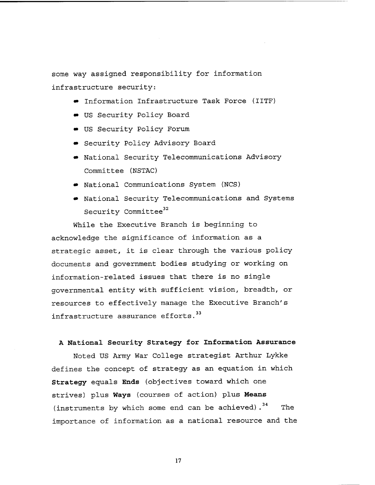some way assigned responsibility for information infrastructure security:

- Information Infrastructure Task Force (IITF)
- US Security Policy Board
- US Security Policy Forum
- Security Policy Advisory Board
- National Security Telecommunications Advisory Committee (NSTAC)
- National Communications System (NCS)
- National Security Telecommunications and Systems Security Committee<sup>32</sup>

While the Executive Branch is beginning to acknowledge the significance of information as a strategic asset, it is clear through the various policy documents and government bodies studying or working on information-related issues that there is no single governmental entity with sufficient vision, breadth, or resources to effectively manage the Executive Branch's infrastructure assurance efforts.<sup>33</sup>

### **A National Security Strategy for Information Assurance**

Noted US Army War College strategist Arthur Lykke defines the concept of strategy as an equation in which **Strategy** equals **Ends** (objectives toward which one strives) plus **Ways** (courses of action) plus **Means**  (instruments by which some end can be achieved).<sup>34</sup> The importance of information as a national resource and the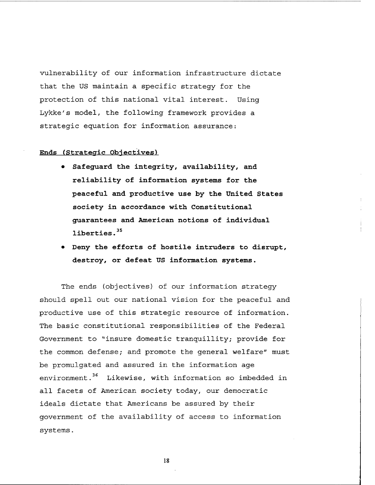vulnerability of our information infrastructure dictate that the US maintain a specific strategy for the protection of this national vital interest. Using Lykke's model, the following framework provides a strategic equation for information assurance:

**Ends** (Strategic Objectives)

- **Safeguard the integrity, availability, and reliability of information systems for the peaceful and productive use by the United States society in accordance with Constitutional guarantees and American notions of individual liberties. <sup>35</sup>**
- **Deny the efforts of hostile intruders to disrupt, destroy, or defeat US information systems.**

The ends (objectives) of our information strategy should spell out our national vision for the peaceful and productive use of this strategic resource of information. The basic constitutional responsibilities of the Federal Government to "insure domestic tranquillity; provide for the common defense; and promote the general welfare" must be promulgated and assured in the information age environment.<sup>36</sup> Likewise, with information so imbedded in all facets of American society today, our democratic ideals dictate that Americans be assured by their government of the availability of access to information systems.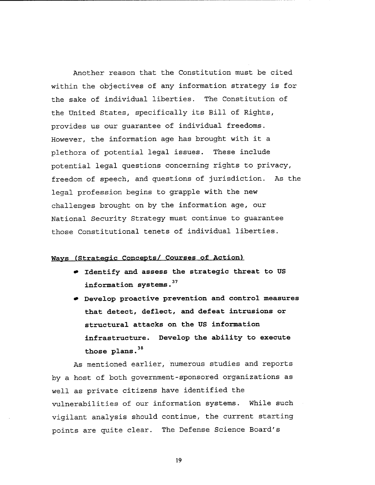Another reason that the Constitution must be cited within the objectives of any information strategy is for the sake of individual liberties. The Constitution of the United States, specifically its Bill of Rights, provides us our guarantee of individual freedoms. However, the information age has brought with it a plethora of potential legal issues. These include potential legal questions concerning rights to privacy, freedom of speech, and questions of jurisdiction. As the legal profession begins to grapple with the new challenges brought on by the information age, our National Security Strategy must continue to guarantee those Constitutional tenets of individual liberties.

## **Wavs (Strategic Concepts/ Courses of Action)**

- **Identify and assess the strategic threat to US <sup>3</sup><sup>7</sup>information systems.**
- **Develop proactive prevention and control measures that detect, deflect, and defeat intrusions or structural attacks on the US information infrastructure. Develop the ability to execute <sup>3</sup><sup>8</sup>those plans.**

As mentioned earlier, numerous studies and reports by a host of both government-sponsored organizations as well as private citizens have identified the vulnerabilities of our information systems. While such vigilant analysis should continue, the current starting points are quite clear. The Defense Science Board's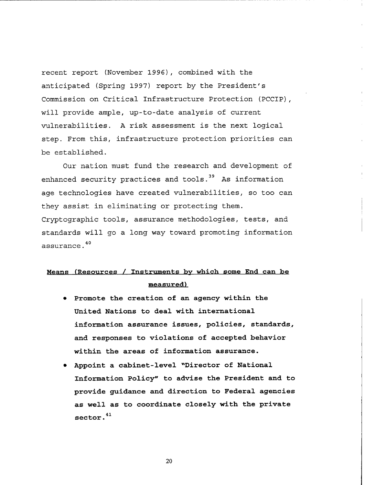recent report (November 1996), combined with the anticipated (Spring 1997) report by the President's Commission on Critical Infrastructure Protection (PCCIP), will provide ample, up-to-date analysis of current vulnerabilities. A risk assessment is the next logical step. From this, infrastructure protection priorities can be established.

Our nation must fund the research and development of enhanced security practices and tools.<sup>39</sup> As information age technologies have created vulnerabilities, so too can they assist in eliminating or protecting them. Cryptographic tools, assurance methodologies, tests, and standards will go a long way toward promoting information **4 0**  assurance.

# **Means (Resources** / **Instruments bv which some End can be measured)**

- **Promote the creation of an agency within the United Nations to deal with international information assurance issues, policies, standards, and responses to violations of accepted behavior within the areas of information assurance.**
- **Appoint a cabinet-level "Director of National Information Policy" to advise the President and to provide guidance and direction to Federal agencies as well as to coordinate closely with the private**   $\sec$  <sup>41</sup>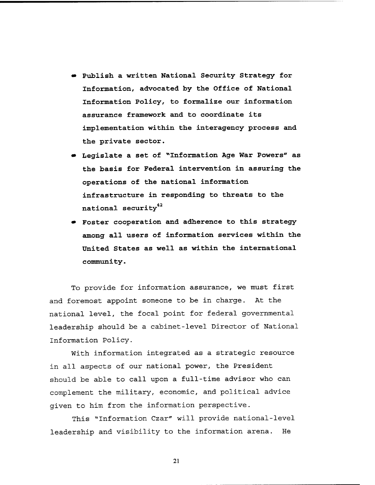- **Publish a written National Security Strategy for Information, advocated by the Office of National Information Policy, to formalize our information assurance framework and to coordinate its implementation within the interagency process and the private sector.**
- **Legislate a set of "Information Age War Powers" as the basis for Federal intervention in assuring the operations of the national information infrastructure in responding to threats to the national security42**
- **Foster cooperation and adherence to this strategy among all users of information services within the United States as well as within the international comuni ty** .

To provide for information assurance, we must first and foremost appoint someone to be in charge. At the national level, the focal point for federal governmental leadership should be a cabinet-level Director of National Information Policy.

With information integrated as a strategic resource in all aspects of our national power, the President should be able to call upon a full-time advisor who can complement the military, economic, and political advice given to him from the information perspective.

This "Information Czar" will provide national-level leadership and visibility to the information arena. He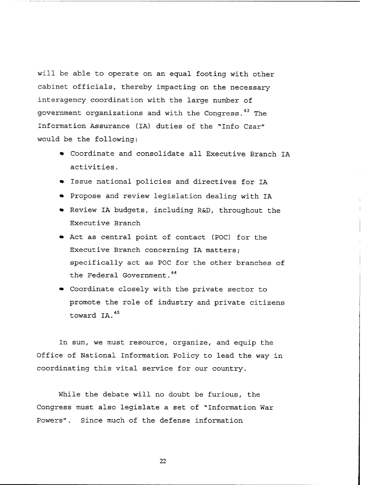will be able to operate on an equal footing with other cabinet officials, thereby impacting on the necessary interagency coordination with the large number of government organizations and with the Congress.<sup>43</sup> The Information Assurance (IA) duties of the "Info Czar" would be the following:

- Coordinate and consolidate all Executive Branch IA activities.
- Issue national policies and directives for IA
- Propose and review legislation dealing with IA
- Review IA budgets, including R&D, throughout the Executive Branch
- Act as central point of contact (POC) for the Executive Branch concerning IA matters; specifically act as POC for the other branches of the Federal Government.<sup>44</sup>
- Coordinate closely with the private sector to promote the role of industry and private citizens toward IA. **<sup>45</sup>**

In sum, we must resource, organize, and equip the Office of National Information Policy to lead the way in coordinating this vital service for our country.

While the debate will no doubt be furious, the Congress must also legislate a set of "Information War Powers". Since much of the defense information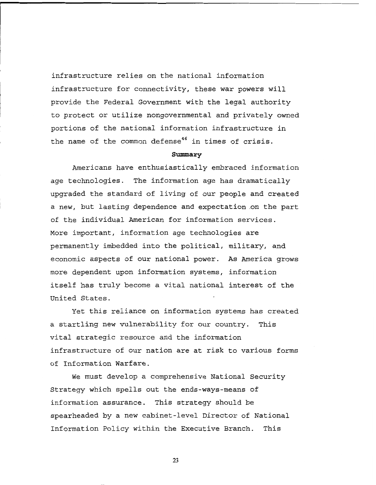infrastructure relies on the national information infrastructure for connectivity, these war powers will provide the Federal Government with the legal authority to protect or utilize nongovernmental and privately owned portions of the national information infrastructure in the name of the common defense<sup>46</sup> in times of crisis.

#### **Summary**

Americans have enthusiastically embraced information age technologies. The information age has dramatically upgraded the standard of living of our people and created a new, but lasting dependence and expectation.on the part of the individual American for information services. More important, information age technologies are permanently imbedded into the political, military, and economic aspects of our national power. As America grows more dependent upon information systems, information itself has truly become a vital national interest of the United States.

Yet this reliance on information systems has created a startling new vulnerability for our country. This vital strategic resource and the information infrastructure of our nation are at risk to various forms of Information Warfare.

We must develop a comprehensive National Security Strategy which spells out the ends-ways-means of information assurance. This strategy should be spearheaded by a new cabinet-level Director of National Information Policy within the Executive Branch. This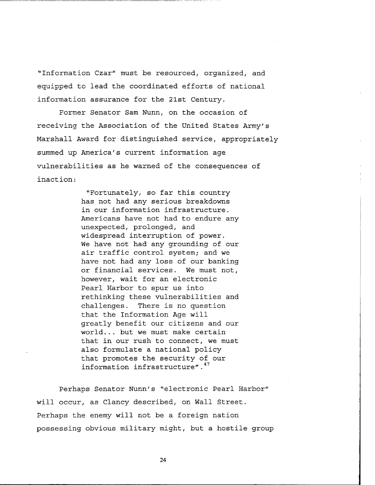"Information Czar" must be resourced, organized, and equipped to lead the coordinated efforts of national information assurance for the 21st Century.

Former Senator Sam Nunn, on the occasion of receiving the Association of the United States Army's Marshall Award for distinguished service, appropriately summed up America's current information age vulnerabilities as he warned of the consequences of inaction:

> "Fortunately, so far this country has not had any serious breakdowns in our information infrastructure. Americans have not had to endure any unexpected, prolonged, and widespread interruption of power. We have not had any grounding of our air traffic control system; and we have not had any loss of our banking or financial services. We must not, however, wait for an electronic Pearl Harbor to spur us into rethinking these vulnerabilities and challenges. There is no question that the Information Age will greatly benefit our citizens and our world... but we must make certain that in our rush to connect, we must also formulate a national policy that promotes the security of our **<sup>47</sup>**information infrastructure".

Perhaps Senator Nunn's "electronic Pearl Harbor" will occur, as Clancy described, on Wall Street. Perhaps the enemy will not be a foreign nation possessing obvious military might, but a hostile group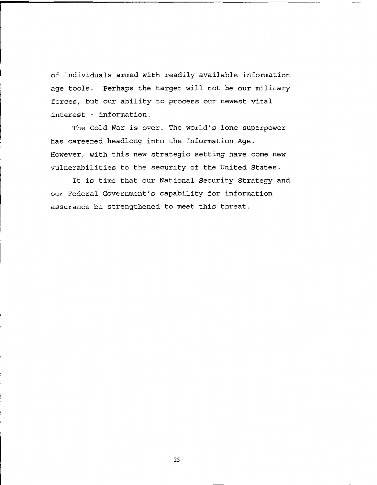of individuals armed with readily available information age tools. Perhaps the target will not be our military forces, but our ability to process our newest vital interest - information.

The Cold War is over. The world's lone superpower has careened headlong into the Information Age. However, with this new strategic setting have come new vulnerabilities to the security of the United States.

It is time that our National Security Strategy and our Federal Government's capability for information assurance be strengthened to meet this threat.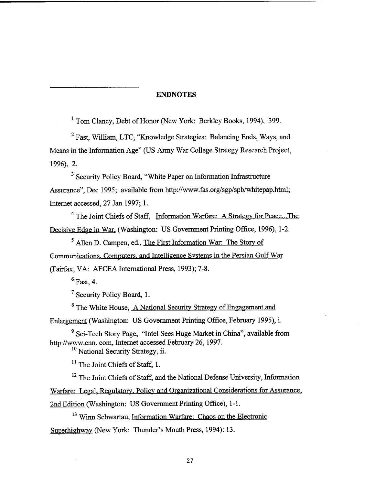## **ENDNOTES**

**<sup>1</sup>**Tom Clancy, Debt of Honor (New York: Berkley Books, 1994), 399.

Fast, William, LTC, "Knowledge Strategies: Balancing Ends, Ways, and Means in the Information Age" (US **Army** War College Strategy Research Project, 1996), 2.

<sup>3</sup> Security Policy Board, "White Paper on Information Infrastructure Assurance", Dec 1995; available fiom http://www.fas.org/sgp/spb/whitepap.html; Internet accessed, 27 Jan 1997; 1.

<sup>4</sup> The Joint Chiefs of Staff, Information Warfare: A Strategy for Peace...The Decisive Edge in War, (Washington: US Government Printing Office, 1996), 1-2.

Allen D. Campen, ed., The First Information War: The Story of Communications. Computers. and Intelligence Systems in the Persian Gulf War (Fairfax, VA: AFCEA International Press, 1993); 7-8.

 $6$  Fast, 4.

**<sup>7</sup>**Security Policy Board, 1.

<sup>8</sup> The White House, A National Security Strategy of Engagement and

Enlargement (Washington: US Government Printing Office, February 1995), i.

<sup>9</sup> Sci-Tech Story Page, "Intel Sees Huge Market in China", available from http://www.cnn. com, Internet accessed February 26,1997.

<sup>10</sup> National Security Strategy, ii.

 $<sup>11</sup>$  The Joint Chiefs of Staff, 1.</sup>

<sup>12</sup> The Joint Chiefs of Staff, and the National Defense University, Information Warfare: Legal. Regulatory. Policy and Organizational Considerations for Assurance, 2nd Edition (Washington: US Government Printing Office), 1-1.

**l3** Winn Schwartau, Information Warfare: Chaos on the Electronic Superhighway (New York: Thunder's Mouth Press, 1994): 13.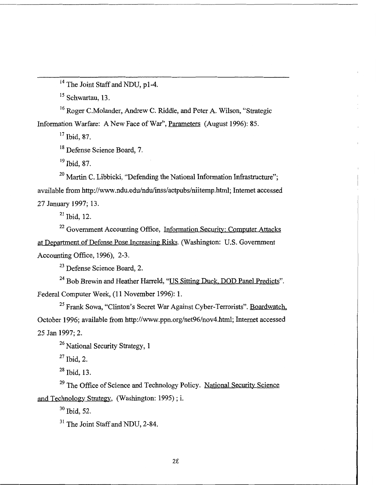**l4** The Joint Staff and NDU, pl-4.

<sup>15</sup> Schwartau, 13.

**l6** Roger C.Molander, Andrew C. Riddle, and Peter A. Wilson, "Strategic Information Warfare: A New Face of War", Parameters (August 1996): 85.

**<sup>17</sup>**Ibid, 87.

<sup>18</sup> Defense Science Board, 7.

**l9** Ibid, 87.

<sup>20</sup> Martin C. Libbicki, "Defending the National Information Infrastructure"; available from http://www.ndu.edu/ndu/inss/actpubs/niitemp.html; Internet accessed 27 January 1997; 13.

 $21$  Ibid, 12.

<sup>22</sup> Government Accounting Office, Information Security: Computer Attacks at Department of Defense Pose Increasing Risks. (Washington: U.S. Government Accounting Office,  $1996$ ), 2-3.

**<sup>23</sup>**Defense Science Board, 2.

<sup>24</sup> Bob Brewin and Heather Harreld, "US Sitting Duck, DOD Panel Predicts". Federal Computer Week, (11 November 1996): 1.

**<sup>25</sup>**Frank Sowa, "Clinton's Secret War Against Cyber-Terrorists". Boardwatch, October 1996; available fiom http://www.ppn.org/net96/nov4.html; Internet accessed 25 Jan 1997; 2.

<sup>26</sup> National Security Strategy, 1

**<sup>27</sup>**Ibid, 2.

**<sup>28</sup>**Ibid, 13.

<sup>29</sup> The Office of Science and Technology Policy. National Security Science and Technology Strategy, (Washington: 1995) ; i.

**<sup>30</sup>**Ibid, 52.

**31** The Joint Staff and NDU, 2-84.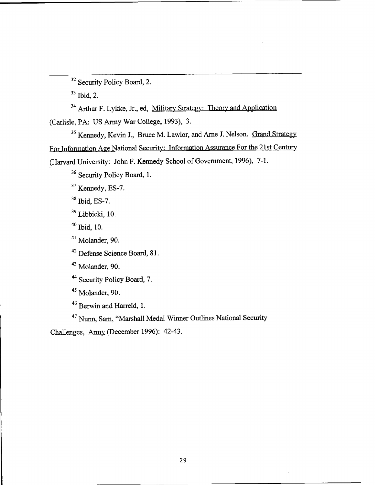<sup>32</sup> Security Policy Board, 2.

**<sup>33</sup>**Ibid, **2.** 

<sup>34</sup> Arthur F. Lykke, Jr., ed, Military Strategy: Theory and Application

(Carlisle, PA: US Army War College, 1993), 3.

<sup>37</sup> Security Policy Board, 2.<br>
<sup>33</sup> Ibid, 2.<br>
<sup>34</sup> Arthur F. Lykke, Jr., ed, <u>Military Strategy: Theory and Application</u><br>
Carlisle, PA: US Army War College, 1993), 3.<br>
<sup>35</sup> Kennedy, Kevin J., Bruce M. Lawlor, and Arme J. **<sup>35</sup>**Kennedy, Kevin **J.,** Bruce M. Lawlor, and Arne J. Nelson. Grand Strategy (Harvard University: John F. Kennedy School of Government, 1996), 7-1.

<sup>36</sup> Security Policy Board, 1.

**<sup>37</sup>**Kennedy, ES-7.

**<sup>38</sup>**Ibid, ES-7.

**<sup>39</sup>**Libbicki, 10.

**<sup>40</sup>**Ibid, 10.

<sup>41</sup> Molander, 90.

**<sup>42</sup>**Defense Science Board, **8** 1.

**<sup>43</sup>**Molander, 90.

<sup>44</sup> Security Policy Board, 7.

<sup>45</sup> Molander, 90.

<sup>46</sup> Berwin and Harreld, 1.

<sup>47</sup> Nunn, Sam, "Marshall Medal Winner Outlines National Security

Challenges, Army (December 1996): 42-43.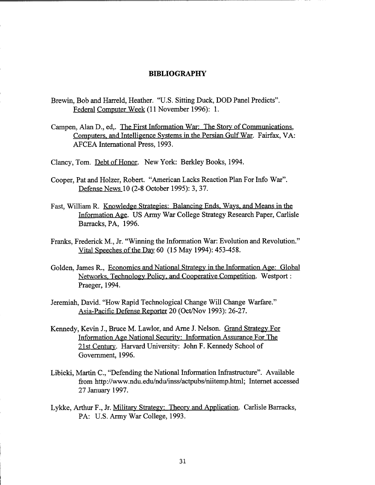#### **BIBLIOGRAPHY**

- Brewin, Bob and Harreld, Heather. "U.S. Sitting Duck, DOD Panel Predicts". Federal Computer Week (11 November 1996): 1.
- Carnpen, Alan D., ed,. The First Information War: The Story of Communications, Computers, and Intelligence Systems in the Persian Gulf War. Fairfax, VA: AFCEA International Press, 1993.

Clancy, Tom. Debt of Honor. New York: Berkley Books, 1994.

- Cooper, Pat and Holzer, Robert. "American Lacks Reaction Plan For Info War". Defense News 10 (2-8 October 1995): 3,37.
- Fast, William R. Knowledge Strategies: Balancing Ends, Ways, and Means in the Information Aee. US Army War College Strategy Research Paper, Carlisle Barracks, PA, 1996.
- Franks, Frederick M., Jr. "Winning the Information War: Evolution and Revolution." Vital Speeches of the Day 60 (15 May 1994): 453-458.
- Golden, James R., Economics and National Strateev in the Information Age: Global Networks. Technology Policy. and Cooperative Competition. Westport : Praeger, 1994.
- Jeremiah, David. "How Rapid Technological Change Will Change Warfare." Asia-Pacific Defense Reporter 20 (Oct/Nov 1993): 26-27.
- Kennedy, Kevin J., Bruce M. Lawlor, and Arne J. Nelson. Grand Strategy For Information Age National Security: Information Assurance For The 21st Century. Harvard University: John F. Kennedy School of Government, 1996.
- Libicki, Martin C., "Defending the National Information Infrastructure". Available from http://www.ndu.edu/ndu/inss/actpubs/niitemp.html; Internet accessed 27 January 1997.
- Lykke, Arthur F., Jr. Military Strategy: Theory and Application. Carlisle Barracks, PA: U.S. Army War College, 1993.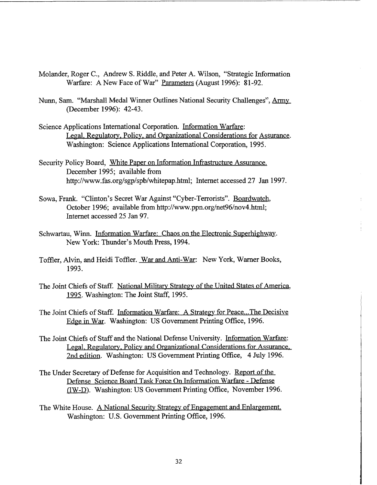- Molander, Roger C., Andrew S. Riddle, and Peter A. Wilson, "Strategic Information Warfare: A New Face of War" Parameters (August 1996): **8** 1-92.
- Nunn, Sam. "Marshall Medal Winner Outlines National Security Challenges", Army (December 1996): 42-43.
- Science Applications International Corporation. Information Warfare: Legal. Regulatory. Policy. and Organizational Considerations for Assurance. Washington: Science Applications International Corporation, 1995.
- Security Policy Board, White Paper on Information Infrastructure Assurance. December 1995; available from http://www.fas.org/sgp/spb/whitepap.htrnl; Internet accessed 27 Jan 1997.
- Sowa, Frank. "Clinton's Secret War Against "Cyber-Terrorists". Boardwatch, October 1996; available fiom http://www.ppn.org/net96/nov4.html; Internet accessed 25 Jan 97.
- Schwartau, Winn. Information Warfare: Chaos on the Electronic Superhighway. New York: Thunder's Mouth Press, 1994.
- Toffler, Alvin, and Heidi Toffler. War and Anti-War: New York, Warner Books, 1993.
- The Joint Chiefs of Staff. National Military Strategy of the United States of America, 1995. Washington: The Joint Staff, 1995.
- The Joint Chiefs of Staff. Information Warfare: A Strategy for Peace...The Decisive Edge in War. Washington: US Government Printing Office, 1996.
- The Joint Chiefs of Staff and the National Defense University. Information Warfare: Legal. Regulatory. Policy and Organizational Considerations for Assurance. 2nd edition. Washington: US Government Printing Office, 4 July 1996.
- The Under Secretary of Defense for Acquisition and Technology. Report of the Defense Science Board Task Force On Information Warfare - Defense UW-D). Washington: US Government Printing Office, November 1996.
- The White House. A National Security Strategy of Engagement and Enlargement. Washington: U.S. Government Printing Office, 1996.